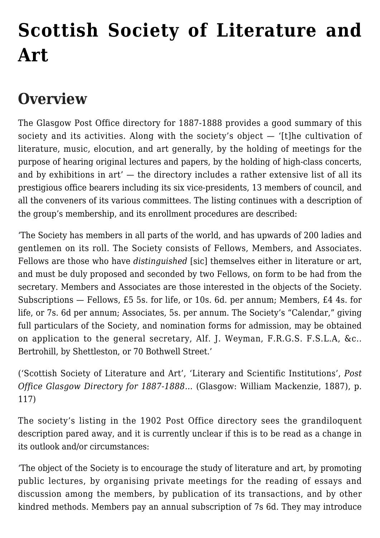# **[Scottish Society of Literature and](https://www.glasgowsliterarybonds.org/societies/scottish-society-of-literature-and-art/) [Art](https://www.glasgowsliterarybonds.org/societies/scottish-society-of-literature-and-art/)**

# **Overview**

The Glasgow Post Office directory for 1887-1888 provides a good summary of this society and its activities. Along with the society's object  $-$  '[t]he cultivation of literature, music, elocution, and art generally, by the holding of meetings for the purpose of hearing original lectures and papers, by the holding of high-class concerts, and by exhibitions in art' — the directory includes a rather extensive list of all its prestigious office bearers including its six vice-presidents, 13 members of council, and all the conveners of its various committees. The listing continues with a description of the group's membership, and its enrollment procedures are described:

'The Society has members in all parts of the world, and has upwards of 200 ladies and gentlemen on its roll. The Society consists of Fellows, Members, and Associates. Fellows are those who have *distinguished* [sic] themselves either in literature or art, and must be duly proposed and seconded by two Fellows, on form to be had from the secretary. Members and Associates are those interested in the objects of the Society. Subscriptions — Fellows, £5 5s. for life, or 10s. 6d. per annum; Members, £4 4s. for life, or 7s. 6d per annum; Associates, 5s. per annum. The Society's "Calendar," giving full particulars of the Society, and nomination forms for admission, may be obtained on application to the general secretary, Alf. J. Weyman, F.R.G.S. F.S.L.A, &c.. Bertrohill, by Shettleston, or 70 Bothwell Street.'

('Scottish Society of Literature and Art', 'Literary and Scientific Institutions', *Post Office Glasgow Directory for 1887-1888…* (Glasgow: William Mackenzie, 1887), p. 117)

The society's listing in the 1902 Post Office directory sees the grandiloquent description pared away, and it is currently unclear if this is to be read as a change in its outlook and/or circumstances:

'The object of the Society is to encourage the study of literature and art, by promoting public lectures, by organising private meetings for the reading of essays and discussion among the members, by publication of its transactions, and by other kindred methods. Members pay an annual subscription of 7s 6d. They may introduce